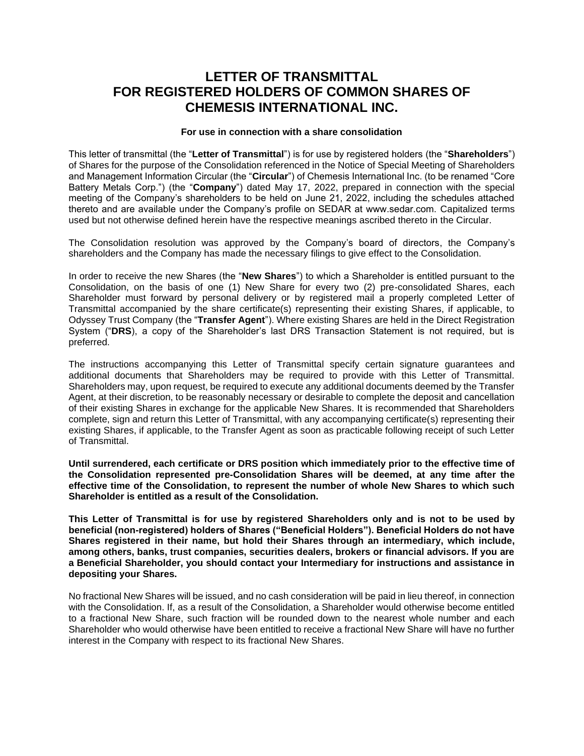# **LETTER OF TRANSMITTAL FOR REGISTERED HOLDERS OF COMMON SHARES OF CHEMESIS INTERNATIONAL INC.**

# **For use in connection with a share consolidation**

This letter of transmittal (the "**Letter of Transmittal**") is for use by registered holders (the "**Shareholders**") of Shares for the purpose of the Consolidation referenced in the Notice of Special Meeting of Shareholders and Management Information Circular (the "**Circular**") of Chemesis International Inc. (to be renamed "Core Battery Metals Corp.") (the "**Company**") dated May 17, 2022, prepared in connection with the special meeting of the Company's shareholders to be held on June 21, 2022, including the schedules attached thereto and are available under the Company's profile on SEDAR at www.sedar.com. Capitalized terms used but not otherwise defined herein have the respective meanings ascribed thereto in the Circular.

The Consolidation resolution was approved by the Company's board of directors, the Company's shareholders and the Company has made the necessary filings to give effect to the Consolidation.

In order to receive the new Shares (the "**New Shares**") to which a Shareholder is entitled pursuant to the Consolidation, on the basis of one (1) New Share for every two (2) pre-consolidated Shares, each Shareholder must forward by personal delivery or by registered mail a properly completed Letter of Transmittal accompanied by the share certificate(s) representing their existing Shares, if applicable, to Odyssey Trust Company (the "**Transfer Agent**"). Where existing Shares are held in the Direct Registration System ("**DRS**), a copy of the Shareholder's last DRS Transaction Statement is not required, but is preferred.

The instructions accompanying this Letter of Transmittal specify certain signature guarantees and additional documents that Shareholders may be required to provide with this Letter of Transmittal. Shareholders may, upon request, be required to execute any additional documents deemed by the Transfer Agent, at their discretion, to be reasonably necessary or desirable to complete the deposit and cancellation of their existing Shares in exchange for the applicable New Shares. It is recommended that Shareholders complete, sign and return this Letter of Transmittal, with any accompanying certificate(s) representing their existing Shares, if applicable, to the Transfer Agent as soon as practicable following receipt of such Letter of Transmittal.

**Until surrendered, each certificate or DRS position which immediately prior to the effective time of the Consolidation represented pre-Consolidation Shares will be deemed, at any time after the effective time of the Consolidation, to represent the number of whole New Shares to which such Shareholder is entitled as a result of the Consolidation.**

**This Letter of Transmittal is for use by registered Shareholders only and is not to be used by beneficial (non-registered) holders of Shares ("Beneficial Holders"). Beneficial Holders do not have Shares registered in their name, but hold their Shares through an intermediary, which include, among others, banks, trust companies, securities dealers, brokers or financial advisors. If you are a Beneficial Shareholder, you should contact your Intermediary for instructions and assistance in depositing your Shares.**

No fractional New Shares will be issued, and no cash consideration will be paid in lieu thereof, in connection with the Consolidation. If, as a result of the Consolidation, a Shareholder would otherwise become entitled to a fractional New Share, such fraction will be rounded down to the nearest whole number and each Shareholder who would otherwise have been entitled to receive a fractional New Share will have no further interest in the Company with respect to its fractional New Shares.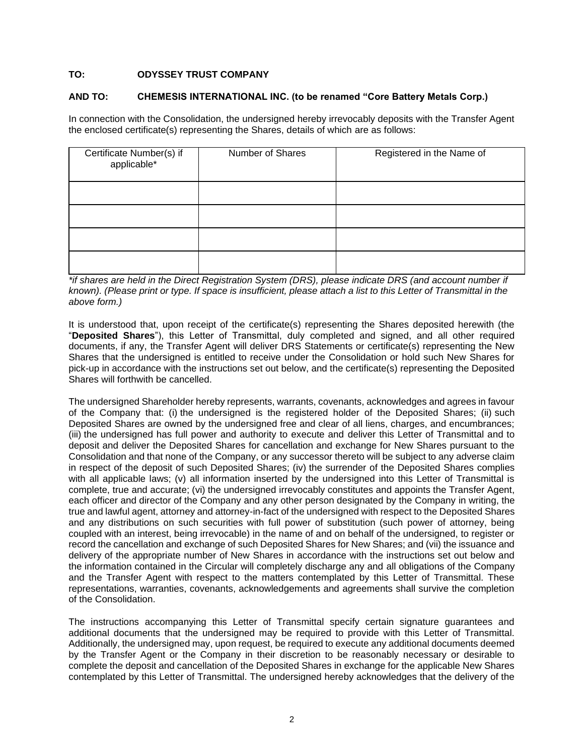## **TO: ODYSSEY TRUST COMPANY**

#### **AND TO: CHEMESIS INTERNATIONAL INC. (to be renamed "Core Battery Metals Corp.)**

In connection with the Consolidation, the undersigned hereby irrevocably deposits with the Transfer Agent the enclosed certificate(s) representing the Shares, details of which are as follows:

| Certificate Number(s) if<br>applicable* | Number of Shares | Registered in the Name of |  |
|-----------------------------------------|------------------|---------------------------|--|
|                                         |                  |                           |  |
|                                         |                  |                           |  |
|                                         |                  |                           |  |
|                                         |                  |                           |  |

*\*if shares are held in the Direct Registration System (DRS), please indicate DRS (and account number if known). (Please print or type. If space is insufficient, please attach a list to this Letter of Transmittal in the above form.)*

It is understood that, upon receipt of the certificate(s) representing the Shares deposited herewith (the "**Deposited Shares**"), this Letter of Transmittal, duly completed and signed, and all other required documents, if any, the Transfer Agent will deliver DRS Statements or certificate(s) representing the New Shares that the undersigned is entitled to receive under the Consolidation or hold such New Shares for pick-up in accordance with the instructions set out below, and the certificate(s) representing the Deposited Shares will forthwith be cancelled.

The undersigned Shareholder hereby represents, warrants, covenants, acknowledges and agrees in favour of the Company that: (i) the undersigned is the registered holder of the Deposited Shares; (ii) such Deposited Shares are owned by the undersigned free and clear of all liens, charges, and encumbrances; (iii) the undersigned has full power and authority to execute and deliver this Letter of Transmittal and to deposit and deliver the Deposited Shares for cancellation and exchange for New Shares pursuant to the Consolidation and that none of the Company, or any successor thereto will be subject to any adverse claim in respect of the deposit of such Deposited Shares; (iv) the surrender of the Deposited Shares complies with all applicable laws; (v) all information inserted by the undersigned into this Letter of Transmittal is complete, true and accurate; (vi) the undersigned irrevocably constitutes and appoints the Transfer Agent, each officer and director of the Company and any other person designated by the Company in writing, the true and lawful agent, attorney and attorney-in-fact of the undersigned with respect to the Deposited Shares and any distributions on such securities with full power of substitution (such power of attorney, being coupled with an interest, being irrevocable) in the name of and on behalf of the undersigned, to register or record the cancellation and exchange of such Deposited Shares for New Shares; and (vii) the issuance and delivery of the appropriate number of New Shares in accordance with the instructions set out below and the information contained in the Circular will completely discharge any and all obligations of the Company and the Transfer Agent with respect to the matters contemplated by this Letter of Transmittal. These representations, warranties, covenants, acknowledgements and agreements shall survive the completion of the Consolidation.

The instructions accompanying this Letter of Transmittal specify certain signature guarantees and additional documents that the undersigned may be required to provide with this Letter of Transmittal. Additionally, the undersigned may, upon request, be required to execute any additional documents deemed by the Transfer Agent or the Company in their discretion to be reasonably necessary or desirable to complete the deposit and cancellation of the Deposited Shares in exchange for the applicable New Shares contemplated by this Letter of Transmittal. The undersigned hereby acknowledges that the delivery of the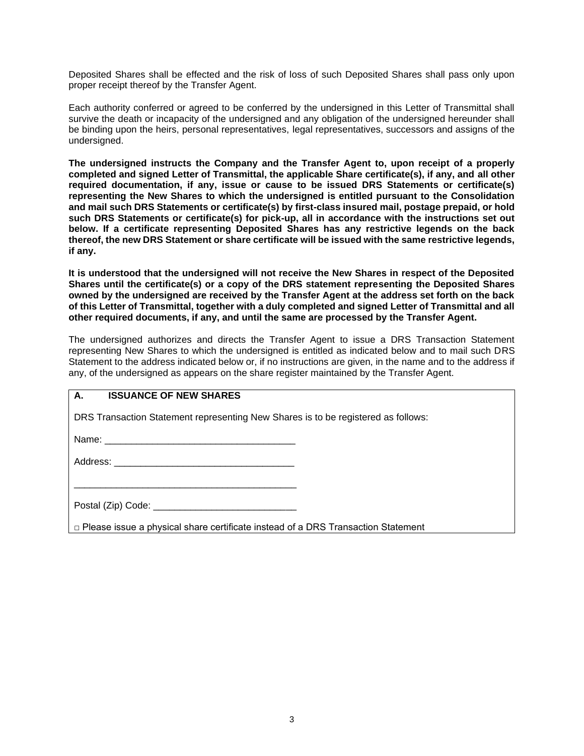Deposited Shares shall be effected and the risk of loss of such Deposited Shares shall pass only upon proper receipt thereof by the Transfer Agent.

Each authority conferred or agreed to be conferred by the undersigned in this Letter of Transmittal shall survive the death or incapacity of the undersigned and any obligation of the undersigned hereunder shall be binding upon the heirs, personal representatives, legal representatives, successors and assigns of the undersigned.

**The undersigned instructs the Company and the Transfer Agent to, upon receipt of a properly completed and signed Letter of Transmittal, the applicable Share certificate(s), if any, and all other required documentation, if any, issue or cause to be issued DRS Statements or certificate(s) representing the New Shares to which the undersigned is entitled pursuant to the Consolidation and mail such DRS Statements or certificate(s) by first-class insured mail, postage prepaid, or hold such DRS Statements or certificate(s) for pick-up, all in accordance with the instructions set out below. If a certificate representing Deposited Shares has any restrictive legends on the back thereof, the new DRS Statement or share certificate will be issued with the same restrictive legends, if any.**

**It is understood that the undersigned will not receive the New Shares in respect of the Deposited Shares until the certificate(s) or a copy of the DRS statement representing the Deposited Shares owned by the undersigned are received by the Transfer Agent at the address set forth on the back of this Letter of Transmittal, together with a duly completed and signed Letter of Transmittal and all other required documents, if any, and until the same are processed by the Transfer Agent.**

The undersigned authorizes and directs the Transfer Agent to issue a DRS Transaction Statement representing New Shares to which the undersigned is entitled as indicated below and to mail such DRS Statement to the address indicated below or, if no instructions are given, in the name and to the address if any, of the undersigned as appears on the share register maintained by the Transfer Agent.

# **A. ISSUANCE OF NEW SHARES**

DRS Transaction Statement representing New Shares is to be registered as follows:

Name:  $\blacksquare$ 

Address: \_\_\_\_\_\_\_\_\_\_\_\_\_\_\_\_\_\_\_\_\_\_\_\_\_\_\_\_\_\_\_\_\_\_

\_\_\_\_\_\_\_\_\_\_\_\_\_\_\_\_\_\_\_\_\_\_\_\_\_\_\_\_\_\_\_\_\_\_\_\_\_\_\_\_\_\_

| Postal (Zip) Code: |  |
|--------------------|--|

 $\Box$  Please issue a physical share certificate instead of a DRS Transaction Statement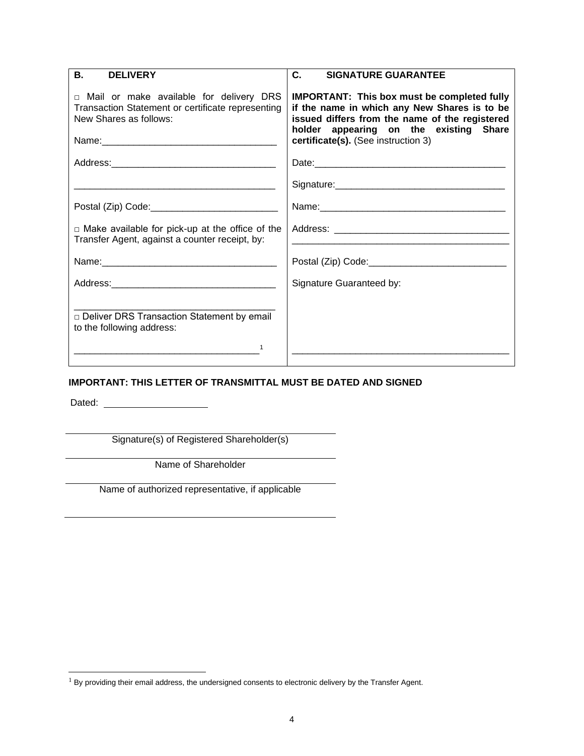| В.<br><b>DELIVERY</b>                                                                                                    | C.<br><b>SIGNATURE GUARANTEE</b>                                                                                                                                                                                                      |
|--------------------------------------------------------------------------------------------------------------------------|---------------------------------------------------------------------------------------------------------------------------------------------------------------------------------------------------------------------------------------|
| □ Mail or make available for delivery DRS<br>Transaction Statement or certificate representing<br>New Shares as follows: | <b>IMPORTANT: This box must be completed fully</b><br>if the name in which any New Shares is to be<br>issued differs from the name of the registered<br>holder appearing on the existing Share<br>certificate(s). (See instruction 3) |
|                                                                                                                          | Date: <u>contract and a series of the series of the series of the series of the series of the series of the series of the series of the series of the series of the series of the series of the series of the series of the seri</u>  |
|                                                                                                                          |                                                                                                                                                                                                                                       |
|                                                                                                                          |                                                                                                                                                                                                                                       |
| $\Box$ Make available for pick-up at the office of the<br>Transfer Agent, against a counter receipt, by:                 |                                                                                                                                                                                                                                       |
|                                                                                                                          |                                                                                                                                                                                                                                       |
|                                                                                                                          | Signature Guaranteed by:                                                                                                                                                                                                              |
| □ Deliver DRS Transaction Statement by email<br>to the following address:<br>1                                           |                                                                                                                                                                                                                                       |

 $\overline{\phantom{a}}$ 

# **IMPORTANT: THIS LETTER OF TRANSMITTAL MUST BE DATED AND SIGNED**

Dated:

Signature(s) of Registered Shareholder(s)

Name of Shareholder

Name of authorized representative, if applicable

 $1$  By providing their email address, the undersigned consents to electronic delivery by the Transfer Agent.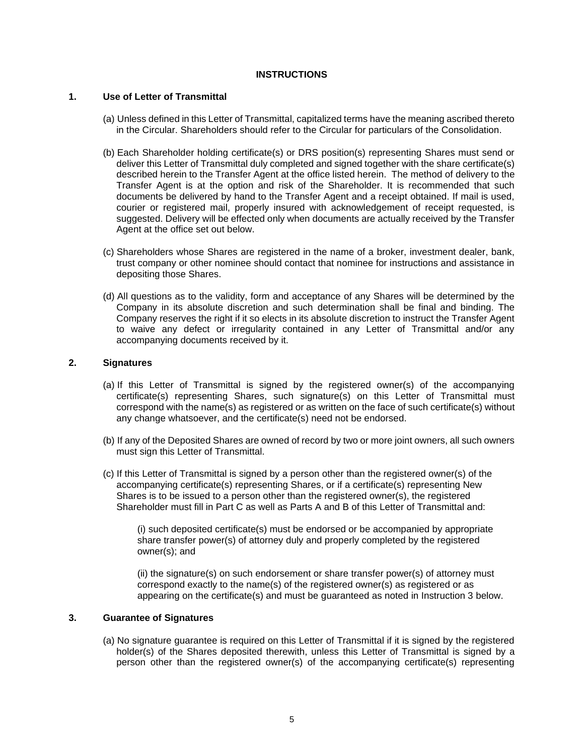#### **INSTRUCTIONS**

#### **1. Use of Letter of Transmittal**

- (a) Unless defined in this Letter of Transmittal, capitalized terms have the meaning ascribed thereto in the Circular. Shareholders should refer to the Circular for particulars of the Consolidation.
- (b) Each Shareholder holding certificate(s) or DRS position(s) representing Shares must send or deliver this Letter of Transmittal duly completed and signed together with the share certificate(s) described herein to the Transfer Agent at the office listed herein. The method of delivery to the Transfer Agent is at the option and risk of the Shareholder. It is recommended that such documents be delivered by hand to the Transfer Agent and a receipt obtained. If mail is used, courier or registered mail, properly insured with acknowledgement of receipt requested, is suggested. Delivery will be effected only when documents are actually received by the Transfer Agent at the office set out below.
- (c) Shareholders whose Shares are registered in the name of a broker, investment dealer, bank, trust company or other nominee should contact that nominee for instructions and assistance in depositing those Shares.
- (d) All questions as to the validity, form and acceptance of any Shares will be determined by the Company in its absolute discretion and such determination shall be final and binding. The Company reserves the right if it so elects in its absolute discretion to instruct the Transfer Agent to waive any defect or irregularity contained in any Letter of Transmittal and/or any accompanying documents received by it.

## **2. Signatures**

- (a) If this Letter of Transmittal is signed by the registered owner(s) of the accompanying certificate(s) representing Shares, such signature(s) on this Letter of Transmittal must correspond with the name(s) as registered or as written on the face of such certificate(s) without any change whatsoever, and the certificate(s) need not be endorsed.
- (b) If any of the Deposited Shares are owned of record by two or more joint owners, all such owners must sign this Letter of Transmittal.
- (c) If this Letter of Transmittal is signed by a person other than the registered owner(s) of the accompanying certificate(s) representing Shares, or if a certificate(s) representing New Shares is to be issued to a person other than the registered owner(s), the registered Shareholder must fill in Part C as well as Parts A and B of this Letter of Transmittal and:

(i) such deposited certificate(s) must be endorsed or be accompanied by appropriate share transfer power(s) of attorney duly and properly completed by the registered owner(s); and

(ii) the signature(s) on such endorsement or share transfer power(s) of attorney must correspond exactly to the name(s) of the registered owner(s) as registered or as appearing on the certificate(s) and must be guaranteed as noted in Instruction 3 below.

#### **3. Guarantee of Signatures**

(a) No signature guarantee is required on this Letter of Transmittal if it is signed by the registered holder(s) of the Shares deposited therewith, unless this Letter of Transmittal is signed by a person other than the registered owner(s) of the accompanying certificate(s) representing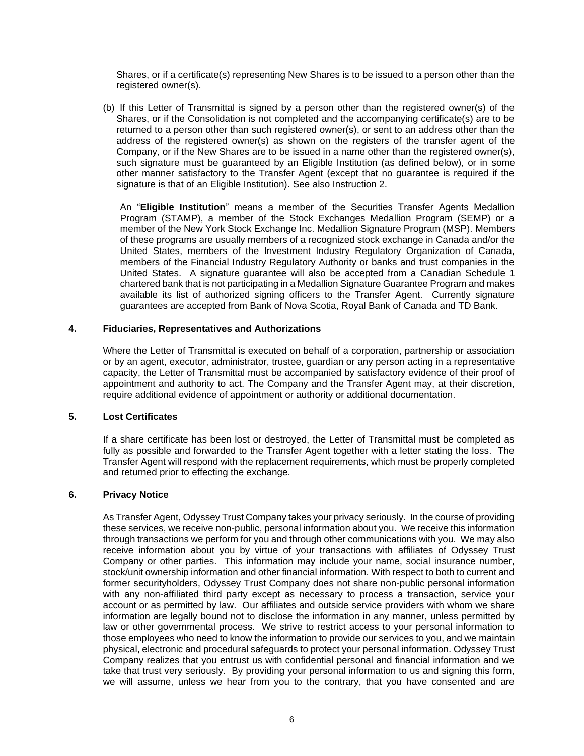Shares, or if a certificate(s) representing New Shares is to be issued to a person other than the registered owner(s).

(b) If this Letter of Transmittal is signed by a person other than the registered owner(s) of the Shares, or if the Consolidation is not completed and the accompanying certificate(s) are to be returned to a person other than such registered owner(s), or sent to an address other than the address of the registered owner(s) as shown on the registers of the transfer agent of the Company, or if the New Shares are to be issued in a name other than the registered owner(s), such signature must be guaranteed by an Eligible Institution (as defined below), or in some other manner satisfactory to the Transfer Agent (except that no guarantee is required if the signature is that of an Eligible Institution). See also Instruction 2.

An "**Eligible Institution**" means a member of the Securities Transfer Agents Medallion Program (STAMP), a member of the Stock Exchanges Medallion Program (SEMP) or a member of the New York Stock Exchange Inc. Medallion Signature Program (MSP). Members of these programs are usually members of a recognized stock exchange in Canada and/or the United States, members of the Investment Industry Regulatory Organization of Canada, members of the Financial Industry Regulatory Authority or banks and trust companies in the United States. A signature guarantee will also be accepted from a Canadian Schedule 1 chartered bank that is not participating in a Medallion Signature Guarantee Program and makes available its list of authorized signing officers to the Transfer Agent. Currently signature guarantees are accepted from Bank of Nova Scotia, Royal Bank of Canada and TD Bank.

#### **4. Fiduciaries, Representatives and Authorizations**

Where the Letter of Transmittal is executed on behalf of a corporation, partnership or association or by an agent, executor, administrator, trustee, guardian or any person acting in a representative capacity, the Letter of Transmittal must be accompanied by satisfactory evidence of their proof of appointment and authority to act. The Company and the Transfer Agent may, at their discretion, require additional evidence of appointment or authority or additional documentation.

#### **5. Lost Certificates**

If a share certificate has been lost or destroyed, the Letter of Transmittal must be completed as fully as possible and forwarded to the Transfer Agent together with a letter stating the loss. The Transfer Agent will respond with the replacement requirements, which must be properly completed and returned prior to effecting the exchange.

#### **6. Privacy Notice**

As Transfer Agent, Odyssey Trust Company takes your privacy seriously. In the course of providing these services, we receive non-public, personal information about you. We receive this information through transactions we perform for you and through other communications with you. We may also receive information about you by virtue of your transactions with affiliates of Odyssey Trust Company or other parties. This information may include your name, social insurance number, stock/unit ownership information and other financial information. With respect to both to current and former securityholders, Odyssey Trust Company does not share non-public personal information with any non-affiliated third party except as necessary to process a transaction, service your account or as permitted by law. Our affiliates and outside service providers with whom we share information are legally bound not to disclose the information in any manner, unless permitted by law or other governmental process. We strive to restrict access to your personal information to those employees who need to know the information to provide our services to you, and we maintain physical, electronic and procedural safeguards to protect your personal information. Odyssey Trust Company realizes that you entrust us with confidential personal and financial information and we take that trust very seriously. By providing your personal information to us and signing this form, we will assume, unless we hear from you to the contrary, that you have consented and are